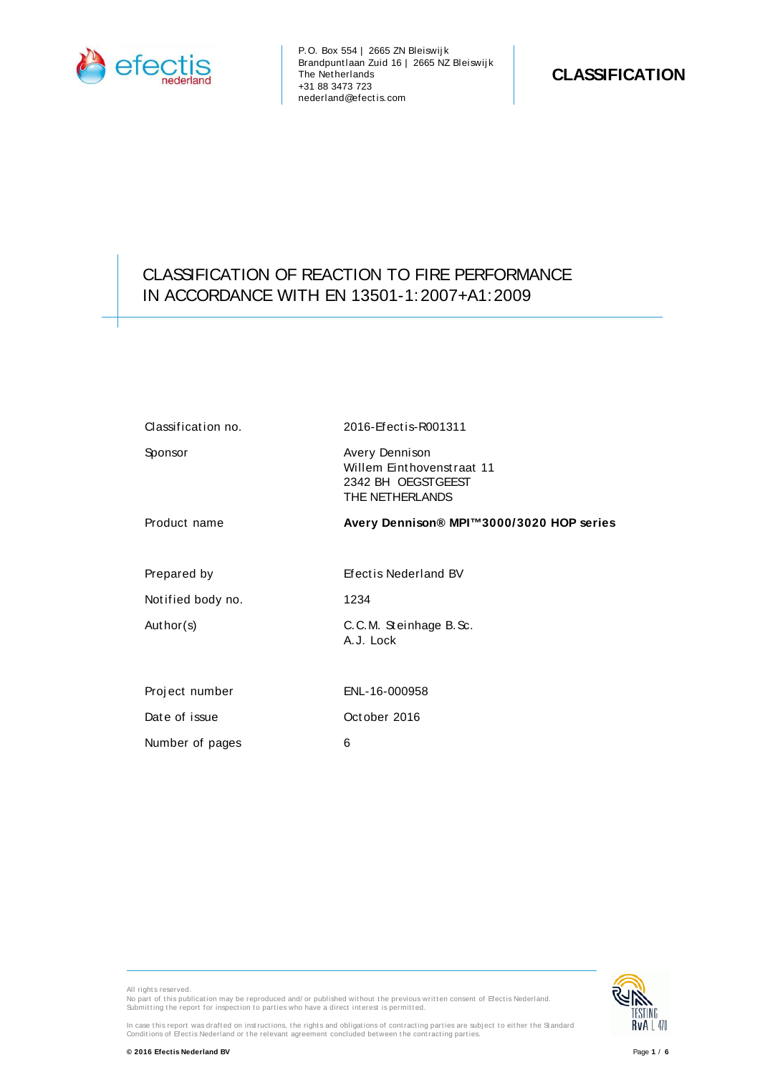

P.O. Box 554 | 2665 ZN Bleiswij k Brandpuntlaan Zuid 16 | 2665 NZ Bleiswij k The Netherlands +31 88 3473 723 nederland@efect is.com

## CLASSIFICATION OF REACTION TO FIRE PERFORMANCE IN ACCORDANCE WITH EN 13501-1:2007+A1:2009

| Classification no. | 2016-Efectis-R001311                                                                 |
|--------------------|--------------------------------------------------------------------------------------|
| Sponsor            | Avery Dennison<br>Willem Einthovenstraat 11<br>2342 BH OEGSTGEEST<br>THE NETHERLANDS |
| Product name       | Avery Dennison® MPI™3000/3020 HOP series                                             |
| Prepared by        | Efect is Nederland BV                                                                |
| Notified body no.  | 1234                                                                                 |
| Author(s)          | C.C.M. Steinhage B.Sc.<br>A.J. Lock                                                  |
| Project number     | ENL-16-000958                                                                        |
| Date of issue      | October 2016                                                                         |
| Number of pages    | 6                                                                                    |

All rights reserved. No part of this publication may be reproduced and/ or published without the previous written consent of Efectis Nederland.<br>Submitting the report for inspection to parties who have a direct interest is permitted.



In case this report was drafted on instructions, the rights and obligations of contracting parties are subject to either the Standard<br>Conditions of Efectis Nederland or the relevant agreement concluded between the contract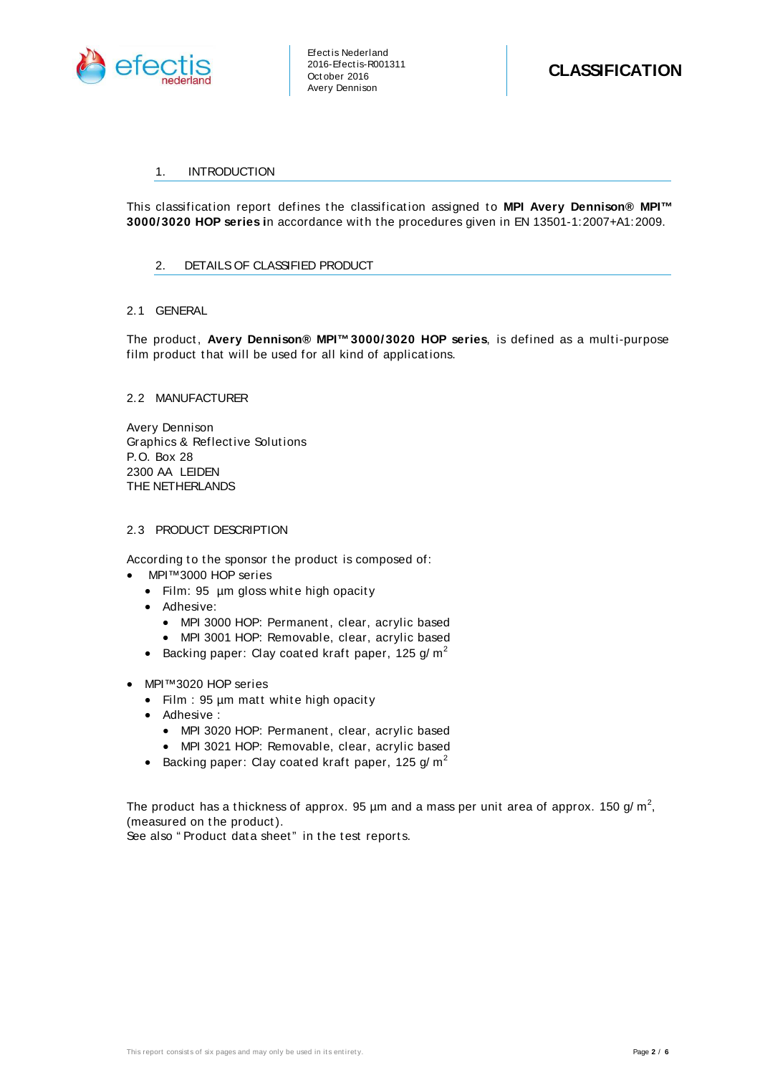

## 1. INTRODUCTION

This classification report defines the classification assigned to **MPI Avery Dennison® MPI**<sup>™</sup> **3000/3020 HOP series in accordance with the procedures given in EN 13501-1:2007+A1:2009.** 

## 2. DETAILS OF CLASSIFIED PRODUCT

## 2.1 GENERAL

The product, Avery Dennison® MPI<sup>™</sup>3000/3020 HOP series, is defined as a multi-purpose film product that will be used for all kind of applications.

## 2.2 MANUFACTURER

Avery Dennison Graphics & Reflect ive Solut ions P.O. Box 28 2300 AA LEIDEN THE NETHERLANDS

## 2.3 PRODUCT DESCRIPTION

According to the sponsor the product is composed of:

- MPI™ 3000 HOP series
	- Film: 95 µm gloss white high opacity
	- Adhesive:
		- MPI 3000 HOP: Permanent, clear, acrylic based
		- MPI 3001 HOP: Removable, clear, acrylic based
	- Backing paper: Clay coated kraft paper, 125 g/m<sup>2</sup>
- MPI™ 3020 HOP series
	- $\bullet$  Film : 95 µm matt white high opacity
	- Adhesive :
		- MPI 3020 HOP: Permanent, clear, acrylic based
		- MPI 3021 HOP: Removable, clear, acrylic based
	- Backing paper: Clay coated kraft paper, 125 g/m<sup>2</sup>

The product has a thickness of approx. 95 µm and a mass per unit area of approx. 150 g/ m<sup>2</sup>, (measured on the product).

See also "Product data sheet" in the test reports.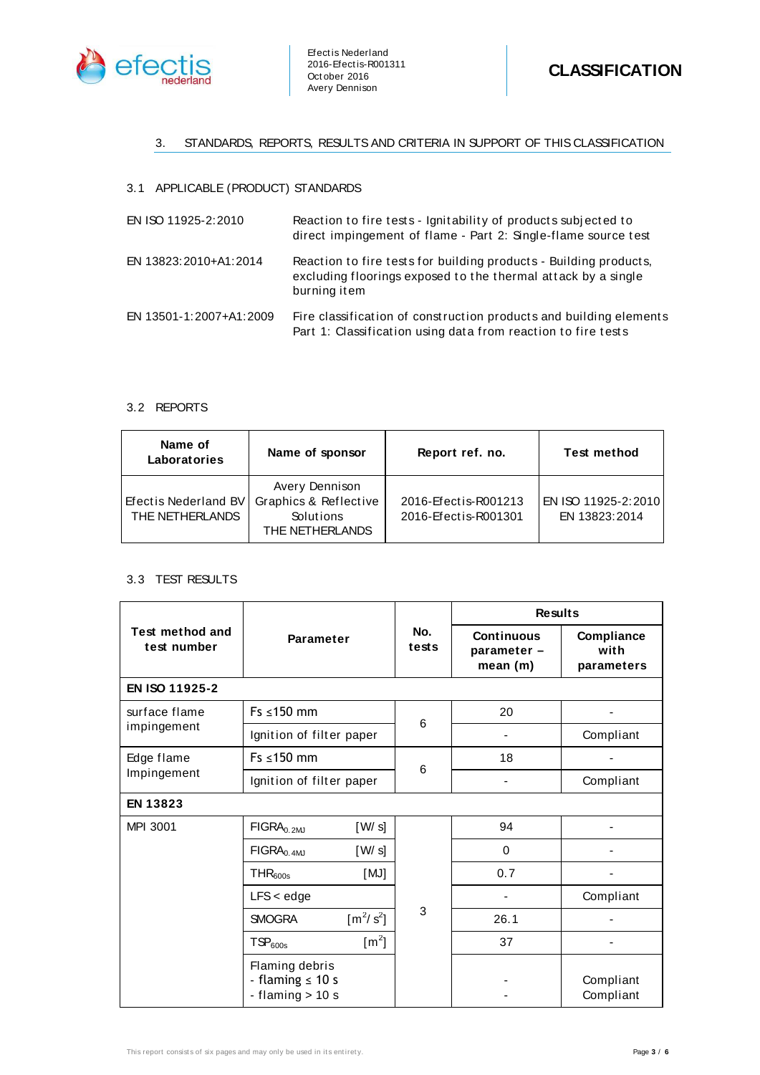

## 3. STANDARDS, REPORTS, RESULTS AND CRITERIA IN SUPPORT OF THIS CLASSIFICATION

## 3.1 APPLICABLE (PRODUCT) STANDARDS

| EN ISO 11925-2:2010     | Reaction to fire tests - Ignitability of products subjected to<br>direct impingement of flame - Part 2: Single-flame source test                   |
|-------------------------|----------------------------------------------------------------------------------------------------------------------------------------------------|
| EN 13823:2010+A1:2014   | Reaction to fire tests for building products - Building products,<br>excluding floorings exposed to the thermal attack by a single<br>burning item |
| EN 13501-1:2007+A1:2009 | Fire classification of construction products and building elements<br>Part 1: Classification using data from reaction to fire tests                |

## 3.2 REPORTS

| Name of<br>Laboratories                 | Name of sponsor                                                         | Report ref. no.                              | <b>Test method</b>                   |
|-----------------------------------------|-------------------------------------------------------------------------|----------------------------------------------|--------------------------------------|
| Efectis Nederland BV<br>THE NETHERLANDS | Avery Dennison<br>Graphics & Reflective<br>Solutions<br>THE NETHERLANDS | 2016-Efectis-R001213<br>2016-Efectis-R001301 | EN ISO 11925-2:2010<br>EN 13823:2014 |

## 3.3 TEST RESULTS

|                                | <b>Parameter</b>                                              |                         | No.<br>tests | <b>Results</b>                              |                                  |
|--------------------------------|---------------------------------------------------------------|-------------------------|--------------|---------------------------------------------|----------------------------------|
| Test method and<br>test number |                                                               |                         |              | <b>Continuous</b><br>parameter -<br>mean(m) | Compliance<br>with<br>parameters |
| EN ISO 11925-2                 |                                                               |                         |              |                                             |                                  |
| surface flame<br>impingement   | $Fs \leq 150$ mm                                              |                         | 6            | 20                                          |                                  |
|                                | Ignition of filter paper                                      |                         |              |                                             | Compliant                        |
| Edge flame<br>Impingement      | $Fs \leq 150$ mm                                              |                         | 6            | 18                                          |                                  |
|                                | Ignition of filter paper                                      |                         |              |                                             | Compliant                        |
| <b>EN 13823</b>                |                                                               |                         |              |                                             |                                  |
| MPI 3001                       | $FIGRA0.2MJ$                                                  | [W/s]                   |              | 94                                          |                                  |
|                                | $FIGRA0.4MJ$                                                  | [W/s]                   |              | 0                                           |                                  |
|                                | THR <sub>600s</sub>                                           | [MJ]                    |              | 0.7                                         |                                  |
|                                | $LFS <$ edge                                                  |                         |              |                                             | Compliant                        |
|                                | <b>SMOGRA</b>                                                 | $\lceil m^2/s^2 \rceil$ | 3            | 26.1                                        |                                  |
|                                | TSP <sub>600s</sub>                                           | $\lfloor m^2 \rfloor$   |              | 37                                          |                                  |
|                                | Flaming debris<br>- flaming $\leq 10$ s<br>- flaming $> 10 s$ |                         |              |                                             | Compliant<br>Compliant           |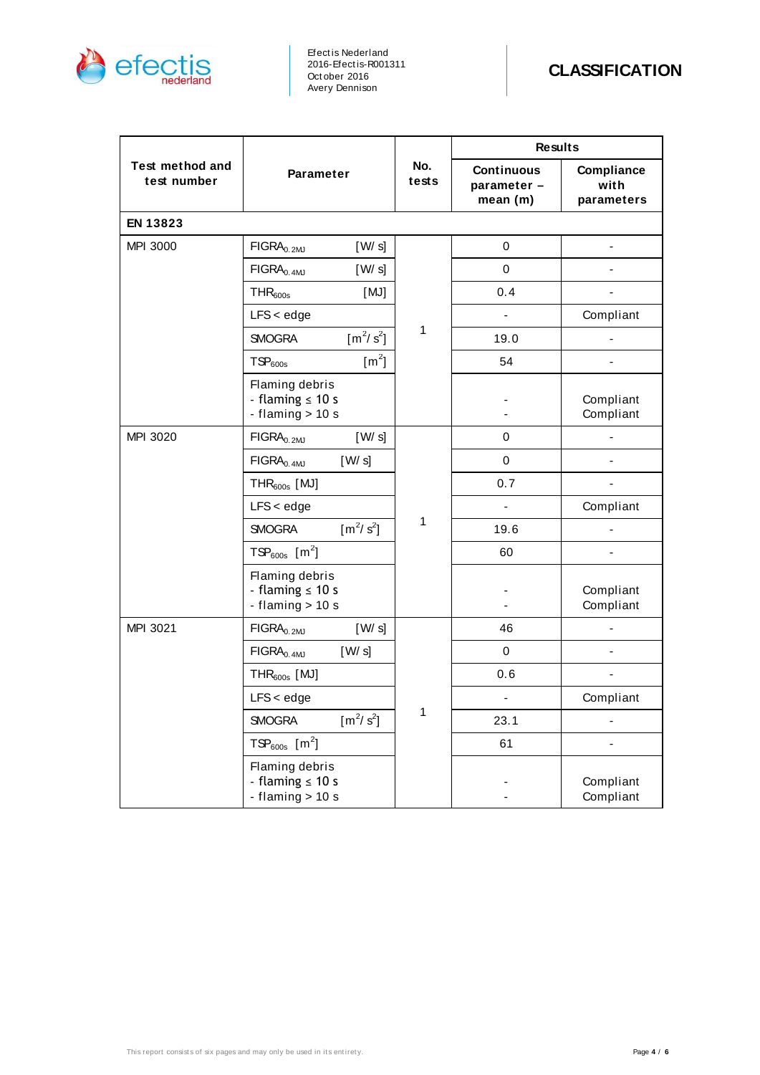

Efect is Nederland 2016-Efect is-R001311 Oct ober 2016 Avery Dennison

|                                |                                                               |              | <b>Results</b>                              |                                  |
|--------------------------------|---------------------------------------------------------------|--------------|---------------------------------------------|----------------------------------|
| Test method and<br>test number | <b>Parameter</b>                                              |              | <b>Continuous</b><br>parameter -<br>mean(m) | Compliance<br>with<br>parameters |
| EN 13823                       |                                                               |              |                                             |                                  |
| <b>MPI 3000</b>                | $FIGRA0.2$ <sub>MJ</sub><br>[W/s]                             |              | 0                                           |                                  |
|                                | $FIGRA0.4MJ$<br>[W/s]                                         |              | 0                                           |                                  |
|                                | THR <sub>600s</sub><br>[MJ]                                   |              | 0.4                                         |                                  |
|                                | $LFS <$ edge                                                  |              |                                             | Compliant                        |
|                                | $[m^2/s^2]$<br><b>SMOGRA</b>                                  | $\mathbf{1}$ | 19.0                                        |                                  |
|                                | $\lfloor m^2 \rfloor$<br>TSP <sub>600s</sub>                  |              | 54                                          |                                  |
|                                | Flaming debris<br>- flaming $\leq 10$ s<br>- flaming $> 10 s$ |              |                                             | Compliant<br>Compliant           |
| MPI 3020                       | [W/s]<br>$FIGRA0.2MJ$                                         | 1            | 0                                           |                                  |
|                                | [W/s]<br>$FIGRA0.4MJ$                                         |              | 0                                           |                                  |
|                                | $THR600s$ [MJ]                                                |              | 0.7                                         |                                  |
|                                | $LFS <$ edge                                                  |              |                                             | Compliant                        |
|                                | $[m^2/s^2]$<br><b>SMOGRA</b>                                  |              | 19.6                                        |                                  |
|                                | $TSP_{600s}$ [m <sup>2</sup> ]                                |              | 60                                          |                                  |
|                                | Flaming debris<br>- flaming $\leq 10$ s<br>- flaming $> 10 s$ |              |                                             | Compliant<br>Compliant           |
| MPI 3021                       | FIGRA <sub>0.2MJ</sub><br>[W/s]                               |              | 46                                          |                                  |
|                                | [W/s]<br>FIGRA <sub>0.4MJ</sub>                               |              | 0                                           |                                  |
|                                | $THR600s$ [MJ]                                                | 1            | 0.6                                         |                                  |
|                                | $LFS <$ edge                                                  |              |                                             | Compliant                        |
|                                | $\left[\frac{m^2}{s^2}\right]$<br><b>SMOGRA</b>               |              | 23.1                                        |                                  |
| $TSP_{600s}$ [m <sup>2</sup> ] |                                                               |              | 61                                          |                                  |
|                                | Flaming debris<br>- flaming $\leq 10$ s<br>- flaming $> 10 s$ |              |                                             | Compliant<br>Compliant           |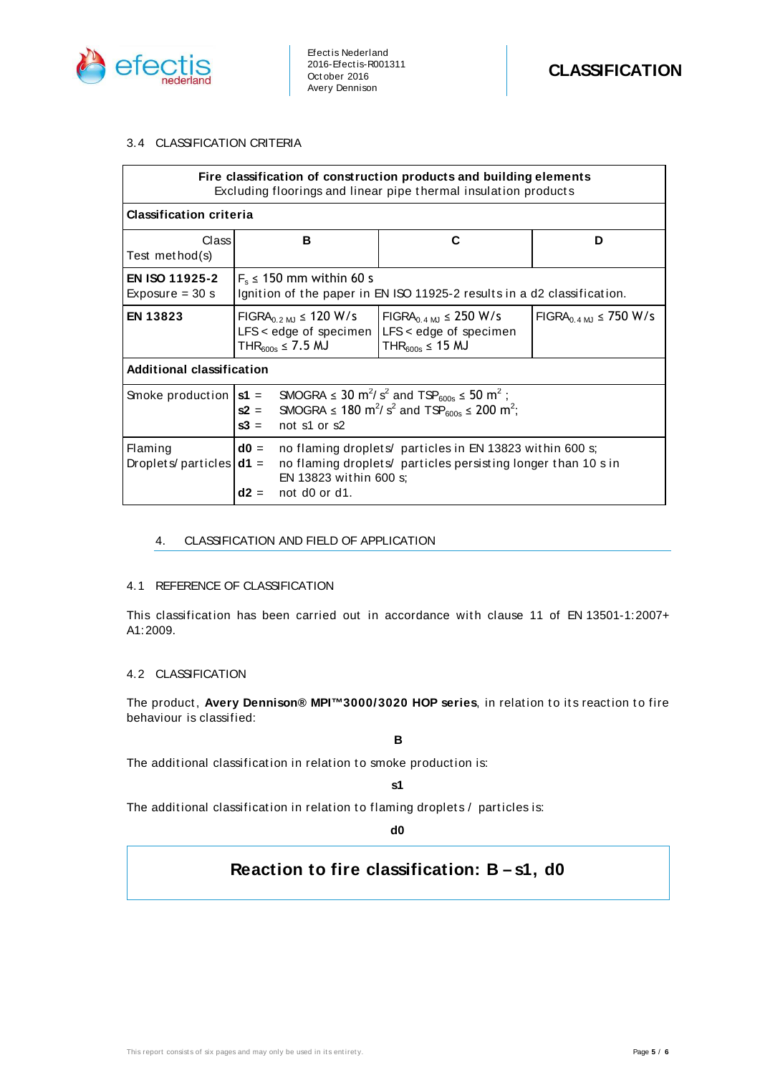

## 3.4 CLASSIFICATION CRITERIA

| Fire classification of construction products and building elements<br>Excluding floorings and linear pipe thermal insulation products |                                                                                                                                                                                                                                                |                                                                                                             |                                               |
|---------------------------------------------------------------------------------------------------------------------------------------|------------------------------------------------------------------------------------------------------------------------------------------------------------------------------------------------------------------------------------------------|-------------------------------------------------------------------------------------------------------------|-----------------------------------------------|
| <b>Classification criteria</b>                                                                                                        |                                                                                                                                                                                                                                                |                                                                                                             |                                               |
| Class<br>Test method(s)                                                                                                               | в                                                                                                                                                                                                                                              | C                                                                                                           | D                                             |
| <b>EN ISO 11925-2</b><br>Exposure $=$ 30 s                                                                                            | $F_s \le 150$ mm within 60 s<br>Ignition of the paper in EN ISO 11925-2 results in a d2 classification.                                                                                                                                        |                                                                                                             |                                               |
| <b>EN 13823</b>                                                                                                                       | $FIGRA_{0.2 \text{ MJ}} \leq 120 \text{ W/s}$<br>$LFS <$ edge of specimen<br>THR <sub>600s</sub> $\leq$ 7.5 MJ                                                                                                                                 | $FIGRA_{0.4 \text{ MJ}} \leq 250 \text{ W/s}$<br>LFS < edge of specimen<br>THR <sub>600s</sub> $\leq$ 15 MJ | $FIGRA_{0.4 \text{ MJ}} \leq 750 \text{ W/s}$ |
| Additional classification                                                                                                             |                                                                                                                                                                                                                                                |                                                                                                             |                                               |
| Smoke production $ st $                                                                                                               | SMOGRA $\leq 30$ m <sup>2</sup> /s <sup>2</sup> and TSP <sub>600s</sub> $\leq 50$ m <sup>2</sup> ;<br>SMOGRA $\leq$ 180 m <sup>2</sup> /s <sup>2</sup> and TSP <sub>600s</sub> $\leq$ 200 m <sup>2</sup> ;<br>$s2 =$<br>$s3 =$<br>not s1 or s2 |                                                                                                             |                                               |
| Flaming<br>Droplets/particles $\mathsf{d} \mathsf{1} =$                                                                               | $d0 =$<br>no flaming droplets/ particles in EN 13823 within 600 s;<br>no flaming droplets particles persisting longer than 10 s in<br>EN 13823 within 600 s;<br>not d0 or d1.<br>$d2 =$                                                        |                                                                                                             |                                               |

## 4. CLASSIFICATION AND FIELD OF APPLICATION

## 4.1 REFERENCE OF CLASSIFICATION

This classification has been carried out in accordance with clause 11 of EN 13501-1:2007+ A1:2009.

## 4.2 CLASSIFICATION

The product, Avery Dennison® MPI™3000/3020 HOP series, in relation to its reaction to fire behaviour is classified:

**B**

The additional classification in relation to smoke production is:

**s1**

The additional classification in relation to flaming droplets / particles is:

**d0**

# **Reaction to fire classification: B – s1, d0**